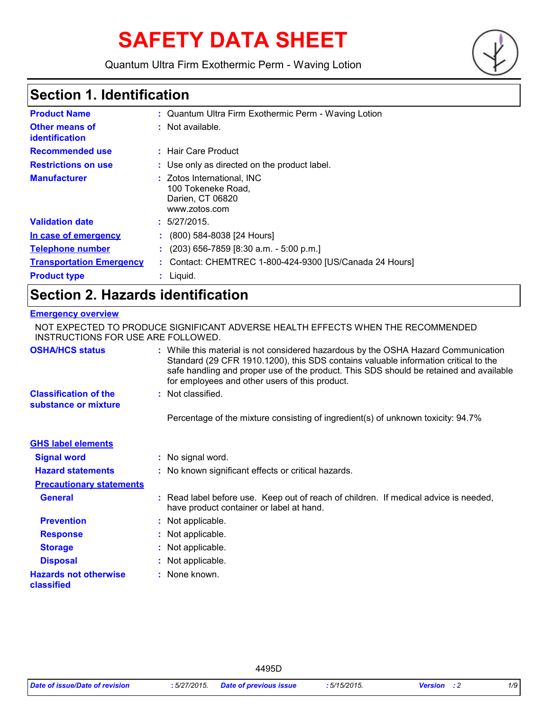# **SAFETY DATA SHEET**

Quantum Ultra Firm Exothermic Perm - Waving Lotion



# **Section 1. Identification**

| <b>Product Name</b>                     | : Quantum Ultra Firm Exothermic Perm - Waving Lotion                                  |
|-----------------------------------------|---------------------------------------------------------------------------------------|
| <b>Other means of</b><br>identification | $:$ Not available.                                                                    |
| <b>Recommended use</b>                  | : Hair Care Product                                                                   |
| <b>Restrictions on use</b>              | : Use only as directed on the product label.                                          |
| <b>Manufacturer</b>                     | : Zotos International, INC<br>100 Tokeneke Road,<br>Darien, CT 06820<br>www.zotos.com |
| <b>Validation date</b>                  | : 5/27/2015.                                                                          |
| In case of emergency                    | $(800)$ 584-8038 [24 Hours]                                                           |
| <b>Telephone number</b>                 | $(203)$ 656-7859 [8:30 a.m. - 5:00 p.m.]                                              |
| <b>Transportation Emergency</b>         | : Contact: CHEMTREC 1-800-424-9300 [US/Canada 24 Hours]                               |
| <b>Product type</b>                     | $:$ Liquid.                                                                           |

# **Section 2. Hazards identification**

#### **Emergency overview**

| INSTRUCTIONS FOR USE ARE FOLLOWED.                   | NOT EXPECTED TO PRODUCE SIGNIFICANT ADVERSE HEALTH EFFECTS WHEN THE RECOMMENDED                                                                                                                                                                                                                                       |
|------------------------------------------------------|-----------------------------------------------------------------------------------------------------------------------------------------------------------------------------------------------------------------------------------------------------------------------------------------------------------------------|
| <b>OSHA/HCS status</b>                               | : While this material is not considered hazardous by the OSHA Hazard Communication<br>Standard (29 CFR 1910.1200), this SDS contains valuable information critical to the<br>safe handling and proper use of the product. This SDS should be retained and available<br>for employees and other users of this product. |
| <b>Classification of the</b><br>substance or mixture | : Not classified.                                                                                                                                                                                                                                                                                                     |
|                                                      | Percentage of the mixture consisting of ingredient(s) of unknown toxicity: 94.7%                                                                                                                                                                                                                                      |
| <b>GHS label elements</b>                            |                                                                                                                                                                                                                                                                                                                       |
| <b>Signal word</b>                                   | : No signal word.                                                                                                                                                                                                                                                                                                     |
| <b>Hazard statements</b>                             | : No known significant effects or critical hazards.                                                                                                                                                                                                                                                                   |
| <b>Precautionary statements</b>                      |                                                                                                                                                                                                                                                                                                                       |
| <b>General</b>                                       | : Read label before use. Keep out of reach of children. If medical advice is needed,<br>have product container or label at hand.                                                                                                                                                                                      |
| <b>Prevention</b>                                    | : Not applicable.                                                                                                                                                                                                                                                                                                     |
| <b>Response</b>                                      | : Not applicable.                                                                                                                                                                                                                                                                                                     |
| <b>Storage</b>                                       | : Not applicable.                                                                                                                                                                                                                                                                                                     |
| <b>Disposal</b>                                      | : Not applicable.                                                                                                                                                                                                                                                                                                     |
| <b>Hazards not otherwise</b><br>classified           | : None known.                                                                                                                                                                                                                                                                                                         |

4495D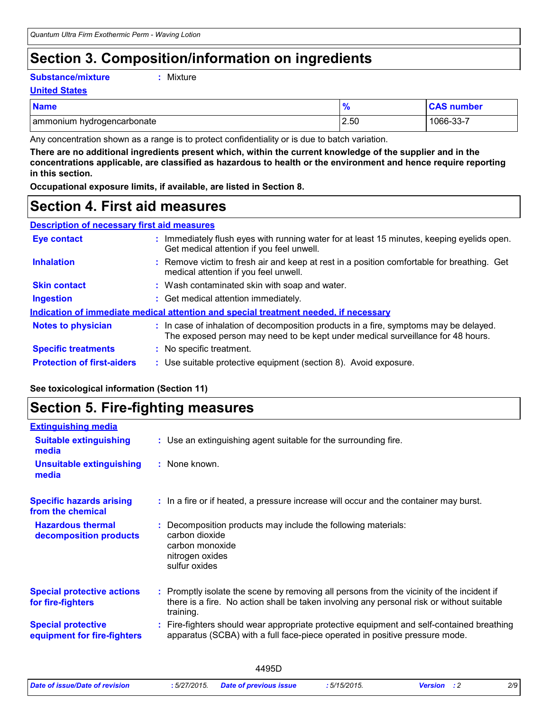### **Section 3. Composition/information on ingredients**

#### **Substance/mixture :**

Mixture

#### **United States**

| <b>Name</b>                |      | <b>CAS number</b> |
|----------------------------|------|-------------------|
| ammonium hydrogencarbonate | 2.50 | 1066-33-7         |

Any concentration shown as a range is to protect confidentiality or is due to batch variation.

**There are no additional ingredients present which, within the current knowledge of the supplier and in the concentrations applicable, are classified as hazardous to health or the environment and hence require reporting in this section.**

**Occupational exposure limits, if available, are listed in Section 8.**

### **Section 4. First aid measures**

| <b>Description of necessary first aid measures</b> |
|----------------------------------------------------|
|----------------------------------------------------|

| <b>Eye contact</b>                | : Immediately flush eyes with running water for at least 15 minutes, keeping eyelids open.<br>Get medical attention if you feel unwell.                                  |
|-----------------------------------|--------------------------------------------------------------------------------------------------------------------------------------------------------------------------|
| <b>Inhalation</b>                 | : Remove victim to fresh air and keep at rest in a position comfortable for breathing. Get<br>medical attention if you feel unwell.                                      |
| <b>Skin contact</b>               | : Wash contaminated skin with soap and water.                                                                                                                            |
| <b>Ingestion</b>                  | : Get medical attention immediately.                                                                                                                                     |
|                                   | Indication of immediate medical attention and special treatment needed, if necessary                                                                                     |
| <b>Notes to physician</b>         | : In case of inhalation of decomposition products in a fire, symptoms may be delayed.<br>The exposed person may need to be kept under medical surveillance for 48 hours. |
| <b>Specific treatments</b>        | : No specific treatment.                                                                                                                                                 |
| <b>Protection of first-aiders</b> | : Use suitable protective equipment (section 8). Avoid exposure.                                                                                                         |

#### **See toxicological information (Section 11)**

### **Section 5. Fire-fighting measures**

| <b>Extinguishing media</b><br><b>Suitable extinguishing</b><br>: Use an extinguishing agent suitable for the surrounding fire.<br>media<br><b>Unsuitable extinguishing</b><br>: None known.<br>media<br>: In a fire or if heated, a pressure increase will occur and the container may burst.<br><b>Specific hazards arising</b><br>from the chemical<br><b>Hazardous thermal</b><br>Decomposition products may include the following materials:<br>carbon dioxide<br>decomposition products<br>carbon monoxide<br>nitrogen oxides<br>sulfur oxides<br><b>Special protective actions</b><br>: Promptly isolate the scene by removing all persons from the vicinity of the incident if<br>there is a fire. No action shall be taken involving any personal risk or without suitable<br>for fire-fighters<br>training.<br><b>Special protective</b><br>apparatus (SCBA) with a full face-piece operated in positive pressure mode.<br>equipment for fire-fighters |                                                                                         |
|-----------------------------------------------------------------------------------------------------------------------------------------------------------------------------------------------------------------------------------------------------------------------------------------------------------------------------------------------------------------------------------------------------------------------------------------------------------------------------------------------------------------------------------------------------------------------------------------------------------------------------------------------------------------------------------------------------------------------------------------------------------------------------------------------------------------------------------------------------------------------------------------------------------------------------------------------------------------|-----------------------------------------------------------------------------------------|
|                                                                                                                                                                                                                                                                                                                                                                                                                                                                                                                                                                                                                                                                                                                                                                                                                                                                                                                                                                 |                                                                                         |
|                                                                                                                                                                                                                                                                                                                                                                                                                                                                                                                                                                                                                                                                                                                                                                                                                                                                                                                                                                 |                                                                                         |
|                                                                                                                                                                                                                                                                                                                                                                                                                                                                                                                                                                                                                                                                                                                                                                                                                                                                                                                                                                 |                                                                                         |
|                                                                                                                                                                                                                                                                                                                                                                                                                                                                                                                                                                                                                                                                                                                                                                                                                                                                                                                                                                 |                                                                                         |
|                                                                                                                                                                                                                                                                                                                                                                                                                                                                                                                                                                                                                                                                                                                                                                                                                                                                                                                                                                 |                                                                                         |
|                                                                                                                                                                                                                                                                                                                                                                                                                                                                                                                                                                                                                                                                                                                                                                                                                                                                                                                                                                 |                                                                                         |
|                                                                                                                                                                                                                                                                                                                                                                                                                                                                                                                                                                                                                                                                                                                                                                                                                                                                                                                                                                 | Fire-fighters should wear appropriate protective equipment and self-contained breathing |

|                                |              | 4495D                         |             |                    |     |
|--------------------------------|--------------|-------------------------------|-------------|--------------------|-----|
| Date of issue/Date of revision | : 5/27/2015. | <b>Date of previous issue</b> | :5/15/2015. | <b>Version</b> : 2 | 2/9 |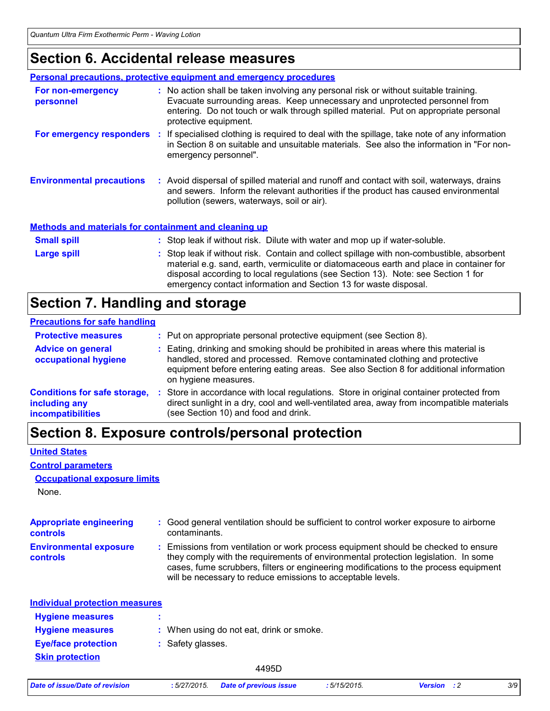### **Section 6. Accidental release measures**

|                                                              | <b>Personal precautions, protective equipment and emergency procedures</b>                                                                                                                                                                                                                                                                    |
|--------------------------------------------------------------|-----------------------------------------------------------------------------------------------------------------------------------------------------------------------------------------------------------------------------------------------------------------------------------------------------------------------------------------------|
| For non-emergency<br>personnel                               | : No action shall be taken involving any personal risk or without suitable training.<br>Evacuate surrounding areas. Keep unnecessary and unprotected personnel from<br>entering. Do not touch or walk through spilled material. Put on appropriate personal<br>protective equipment.                                                          |
|                                                              | For emergency responders : If specialised clothing is required to deal with the spillage, take note of any information<br>in Section 8 on suitable and unsuitable materials. See also the information in "For non-<br>emergency personnel".                                                                                                   |
| <b>Environmental precautions</b>                             | : Avoid dispersal of spilled material and runoff and contact with soil, waterways, drains<br>and sewers. Inform the relevant authorities if the product has caused environmental<br>pollution (sewers, waterways, soil or air).                                                                                                               |
| <b>Methods and materials for containment and cleaning up</b> |                                                                                                                                                                                                                                                                                                                                               |
| <b>Small spill</b>                                           | : Stop leak if without risk. Dilute with water and mop up if water-soluble.                                                                                                                                                                                                                                                                   |
| Large spill                                                  | : Stop leak if without risk. Contain and collect spillage with non-combustible, absorbent<br>material e.g. sand, earth, vermiculite or diatomaceous earth and place in container for<br>disposal according to local regulations (see Section 13). Note: see Section 1 for<br>emergency contact information and Section 13 for waste disposal. |

# **Section 7. Handling and storage**

#### **Precautions for safe handling**

| <b>Protective measures</b>                                                       | : Put on appropriate personal protective equipment (see Section 8).                                                                                                                                                                                                                |
|----------------------------------------------------------------------------------|------------------------------------------------------------------------------------------------------------------------------------------------------------------------------------------------------------------------------------------------------------------------------------|
| <b>Advice on general</b><br>occupational hygiene                                 | : Eating, drinking and smoking should be prohibited in areas where this material is<br>handled, stored and processed. Remove contaminated clothing and protective<br>equipment before entering eating areas. See also Section 8 for additional information<br>on hygiene measures. |
| <b>Conditions for safe storage,</b><br>including any<br><b>incompatibilities</b> | Store in accordance with local regulations. Store in original container protected from<br>direct sunlight in a dry, cool and well-ventilated area, away from incompatible materials<br>(see Section 10) and food and drink.                                                        |

# **Section 8. Exposure controls/personal protection**

#### **United States**

#### **Control parameters**

#### **Occupational exposure limits**

None.

| <b>Appropriate engineering</b><br><b>controls</b> | : Good general ventilation should be sufficient to control worker exposure to airborne<br>contaminants.                                                                                                                                                                                                                         |
|---------------------------------------------------|---------------------------------------------------------------------------------------------------------------------------------------------------------------------------------------------------------------------------------------------------------------------------------------------------------------------------------|
| <b>Environmental exposure</b><br><b>controls</b>  | : Emissions from ventilation or work process equipment should be checked to ensure<br>they comply with the requirements of environmental protection legislation. In some<br>cases, fume scrubbers, filters or engineering modifications to the process equipment<br>will be necessary to reduce emissions to acceptable levels. |
| <b>Individual protection measures</b>             |                                                                                                                                                                                                                                                                                                                                 |
| <b>Hygiene measures</b>                           |                                                                                                                                                                                                                                                                                                                                 |
| <b>Hygiene measures</b>                           | : When using do not eat, drink or smoke.                                                                                                                                                                                                                                                                                        |
| <b>Eye/face protection</b>                        | : Safety glasses.                                                                                                                                                                                                                                                                                                               |
| <b>Skin protection</b>                            |                                                                                                                                                                                                                                                                                                                                 |

4495D

|  |  | Date of issue/Date of revision |
|--|--|--------------------------------|
|  |  |                                |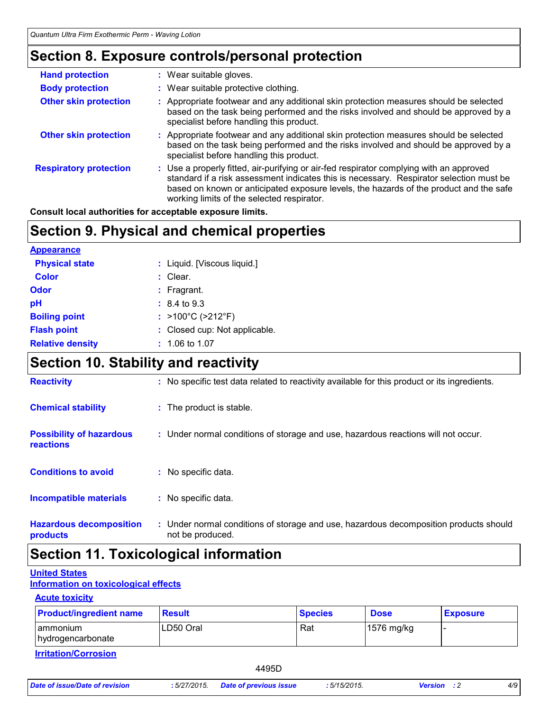### **Section 8. Exposure controls/personal protection**

| <b>Hand protection</b>        | : Wear suitable gloves.                                                                                                                                                                                                                                                                                                    |
|-------------------------------|----------------------------------------------------------------------------------------------------------------------------------------------------------------------------------------------------------------------------------------------------------------------------------------------------------------------------|
| <b>Body protection</b>        | : Wear suitable protective clothing.                                                                                                                                                                                                                                                                                       |
| <b>Other skin protection</b>  | : Appropriate footwear and any additional skin protection measures should be selected<br>based on the task being performed and the risks involved and should be approved by a<br>specialist before handling this product.                                                                                                  |
| <b>Other skin protection</b>  | : Appropriate footwear and any additional skin protection measures should be selected<br>based on the task being performed and the risks involved and should be approved by a<br>specialist before handling this product.                                                                                                  |
| <b>Respiratory protection</b> | : Use a properly fitted, air-purifying or air-fed respirator complying with an approved<br>standard if a risk assessment indicates this is necessary. Respirator selection must be<br>based on known or anticipated exposure levels, the hazards of the product and the safe<br>working limits of the selected respirator. |

**Consult local authorities for acceptable exposure limits.**

### **Section 9. Physical and chemical properties**

| <b>Appearance</b>       |                                        |
|-------------------------|----------------------------------------|
| <b>Physical state</b>   | : Liquid. [Viscous liquid.]            |
| <b>Color</b>            | $:$ Clear.                             |
| Odor                    | $:$ Fragrant.                          |
| рH                      | $: 8.4 \text{ to } 9.3$                |
| <b>Boiling point</b>    | : $>100^{\circ}$ C ( $>212^{\circ}$ F) |
| <b>Flash point</b>      | : Closed cup: Not applicable.          |
| <b>Relative density</b> | $: 1.06$ to 1.07                       |

# **Section 10. Stability and reactivity**

| <b>Reactivity</b>                            | : No specific test data related to reactivity available for this product or its ingredients.              |
|----------------------------------------------|-----------------------------------------------------------------------------------------------------------|
| <b>Chemical stability</b>                    | : The product is stable.                                                                                  |
| <b>Possibility of hazardous</b><br>reactions | : Under normal conditions of storage and use, hazardous reactions will not occur.                         |
| <b>Conditions to avoid</b>                   | : No specific data.                                                                                       |
| <b>Incompatible materials</b>                | : No specific data.                                                                                       |
| <b>Hazardous decomposition</b><br>products   | : Under normal conditions of storage and use, hazardous decomposition products should<br>not be produced. |

### **Section 11. Toxicological information**

#### **United States**

**Information on toxicological effects**

#### **Acute toxicity**

| <b>Product/ingredient name</b>       | Result    | <b>Species</b> | <b>Dose</b> | <b>Exposure</b> |
|--------------------------------------|-----------|----------------|-------------|-----------------|
| ammonium<br>hydrogencarbonate        | LD50 Oral | Rat            | 1576 mg/kg  |                 |
| المتمالح ومستورها لمتملئه والقطائسين |           |                |             |                 |

**Irritation/Corrosion**

4495D

*Date of issue/Date of revision* **:** *5/27/2015. Date of previous issue : 5/15/2015. Version : 2 4/9*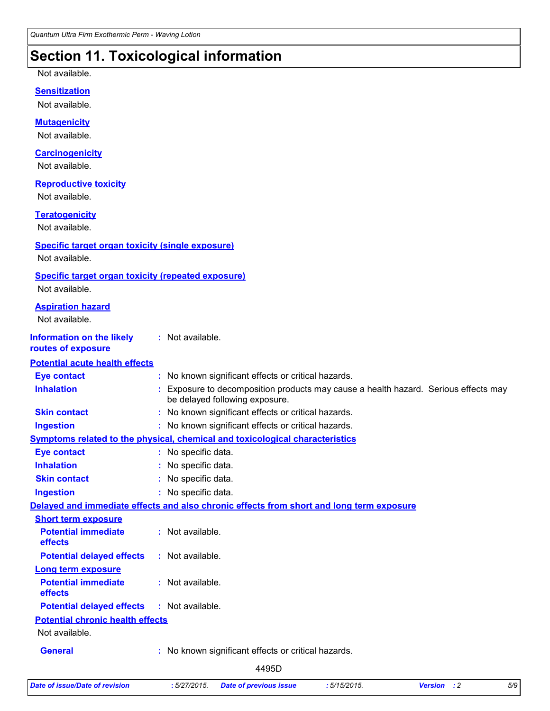## **Section 11. Toxicological information**

Not available.

#### **Sensitization**

Not available.

#### **Mutagenicity**

Not available.

#### **Carcinogenicity**

Not available.

#### **Reproductive toxicity**

Not available.

#### **Teratogenicity**

Not available.

#### **Specific target organ toxicity (single exposure)**

Not available.

#### **Specific target organ toxicity (repeated exposure)**

Not available.

| <b>Aspiration hazard</b><br>Not available.             |                                                                                                                     |
|--------------------------------------------------------|---------------------------------------------------------------------------------------------------------------------|
| <b>Information on the likely</b><br>routes of exposure | : Not available.                                                                                                    |
| <b>Potential acute health effects</b>                  |                                                                                                                     |
| <b>Eye contact</b>                                     | : No known significant effects or critical hazards.                                                                 |
| <b>Inhalation</b>                                      | Exposure to decomposition products may cause a health hazard. Serious effects may<br>be delayed following exposure. |
| <b>Skin contact</b>                                    | : No known significant effects or critical hazards.                                                                 |
| <b>Ingestion</b>                                       | : No known significant effects or critical hazards.                                                                 |
|                                                        | Symptoms related to the physical, chemical and toxicological characteristics                                        |
| <b>Eye contact</b>                                     | : No specific data.                                                                                                 |
| <b>Inhalation</b>                                      | : No specific data.                                                                                                 |
| <b>Skin contact</b>                                    | No specific data.                                                                                                   |
| <b>Ingestion</b>                                       | : No specific data.                                                                                                 |
|                                                        | Delayed and immediate effects and also chronic effects from short and long term exposure                            |
| <b>Short term exposure</b>                             |                                                                                                                     |
| <b>Potential immediate</b><br>effects                  | : Not available.                                                                                                    |
| <b>Potential delayed effects</b>                       | $:$ Not available.                                                                                                  |
| Long term exposure                                     |                                                                                                                     |
| <b>Potential immediate</b><br>effects                  | : Not available.                                                                                                    |
| <b>Potential delayed effects</b>                       | : Not available.                                                                                                    |
| <b>Potential chronic health effects</b>                |                                                                                                                     |
| Not available.                                         |                                                                                                                     |
| <b>General</b>                                         | No known significant effects or critical hazards.                                                                   |
|                                                        |                                                                                                                     |

4495D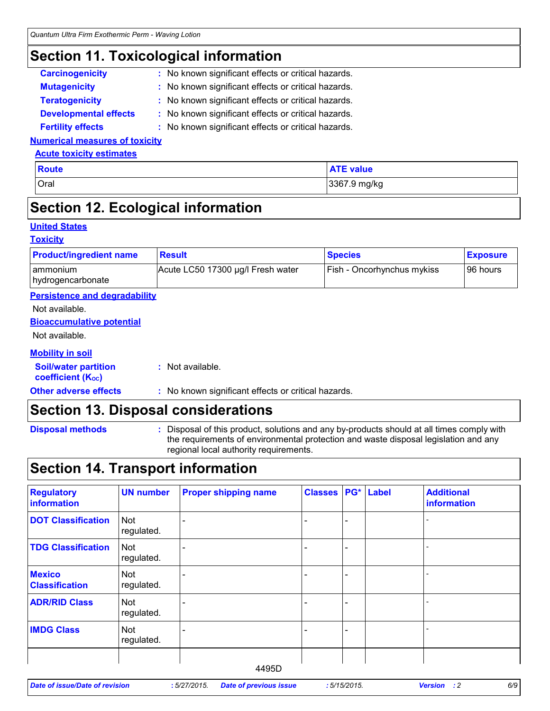### **Section 11. Toxicological information**

| <b>Carcinogenicity</b>       | : No known significant effects or critical hazards. |
|------------------------------|-----------------------------------------------------|
| <b>Mutagenicity</b>          | : No known significant effects or critical hazards. |
| <b>Teratogenicity</b>        | : No known significant effects or critical hazards. |
| <b>Developmental effects</b> | : No known significant effects or critical hazards. |
| <b>Fertility effects</b>     | : No known significant effects or critical hazards. |

#### **Numerical measures of toxicity**

#### **Acute toxicity estimates**

| <b>Route</b> | <b>ATE value</b> |
|--------------|------------------|
| Oral         | 3367.9 mg/kg     |
|              |                  |

### **Section 12. Ecological information**

#### **United States**

#### **Toxicity**

| <b>Product/ingredient name</b>                          | <b>Result</b>                                       | <b>Species</b>             | <b>Exposure</b> |
|---------------------------------------------------------|-----------------------------------------------------|----------------------------|-----------------|
| ammonium<br>hydrogencarbonate                           | Acute LC50 17300 µg/l Fresh water                   | Fish - Oncorhynchus mykiss | 96 hours        |
| <b>Persistence and degradability</b>                    |                                                     |                            |                 |
| Not available.                                          |                                                     |                            |                 |
| <b>Bioaccumulative potential</b>                        |                                                     |                            |                 |
| Not available.                                          |                                                     |                            |                 |
| <b>Mobility in soil</b>                                 |                                                     |                            |                 |
| <b>Soil/water partition</b><br><b>coefficient (Koc)</b> | : Not available.                                    |                            |                 |
| <b>Other adverse effects</b>                            | : No known significant effects or critical hazards. |                            |                 |

### **Section 13. Disposal considerations**

| <b>Disposal methods</b> |
|-------------------------|
|                         |

**Disposal methods** : Disposal of this product, solutions and any by-products should at all times comply with the requirements of environmental protection and waste disposal legislation and any regional local authority requirements.

### **Section 14. Transport information**

| <b>Regulatory</b><br>information       | <b>UN number</b>         | <b>Proper shipping name</b> | <b>Classes PG* Label</b> |  | <b>Additional</b><br>information |
|----------------------------------------|--------------------------|-----------------------------|--------------------------|--|----------------------------------|
| <b>DOT Classification</b>              | <b>Not</b><br>regulated. |                             |                          |  |                                  |
| <b>TDG Classification</b>              | Not<br>regulated.        |                             |                          |  |                                  |
| <b>Mexico</b><br><b>Classification</b> | Not<br>regulated.        |                             |                          |  |                                  |
| <b>ADR/RID Class</b>                   | <b>Not</b><br>regulated. |                             |                          |  |                                  |
| <b>IMDG Class</b>                      | Not<br>regulated.        |                             |                          |  |                                  |
|                                        |                          | 4495D                       |                          |  |                                  |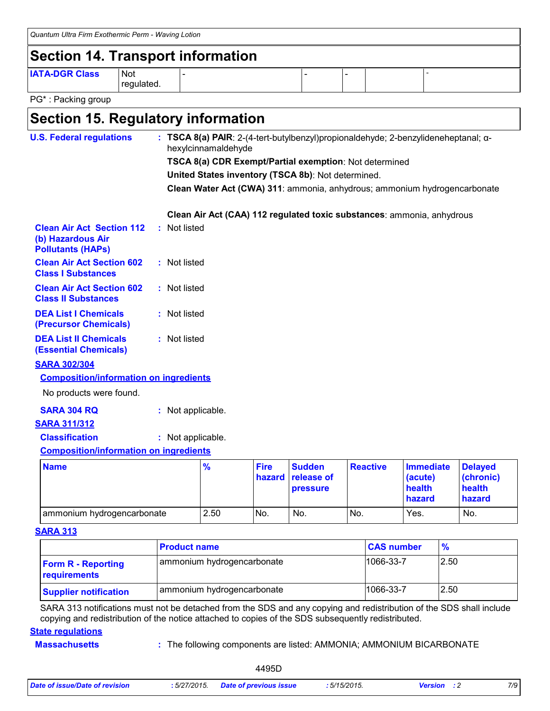| Quantum Ultra Firm Exothermic Perm - Waving Lotion |                          |  |  |  |  |  |  |
|----------------------------------------------------|--------------------------|--|--|--|--|--|--|
| Section 14. Transport information                  |                          |  |  |  |  |  |  |
| <b>IATA-DGR Class</b>                              | <b>Not</b><br>regulated. |  |  |  |  |  |  |

PG\* : Packing group

### **Section 15. Regulatory information**

| <b>U.S. Federal regulations</b>                                                   |                                                        | hexylcinnamaldehyde |                       |                                                    |                 | : TSCA 8(a) PAIR: 2-(4-tert-butylbenzyl)propionaldehyde; 2-benzylideneheptanal; $\alpha$ - |                                       |  |
|-----------------------------------------------------------------------------------|--------------------------------------------------------|---------------------|-----------------------|----------------------------------------------------|-----------------|--------------------------------------------------------------------------------------------|---------------------------------------|--|
|                                                                                   | TSCA 8(a) CDR Exempt/Partial exemption: Not determined |                     |                       |                                                    |                 |                                                                                            |                                       |  |
|                                                                                   |                                                        |                     |                       | United States inventory (TSCA 8b): Not determined. |                 |                                                                                            |                                       |  |
|                                                                                   |                                                        |                     |                       |                                                    |                 | Clean Water Act (CWA) 311: ammonia, anhydrous; ammonium hydrogencarbonate                  |                                       |  |
|                                                                                   |                                                        |                     |                       |                                                    |                 | Clean Air Act (CAA) 112 regulated toxic substances: ammonia, anhydrous                     |                                       |  |
| <b>Clean Air Act Section 112</b><br>(b) Hazardous Air<br><b>Pollutants (HAPs)</b> | : Not listed                                           |                     |                       |                                                    |                 |                                                                                            |                                       |  |
| <b>Clean Air Act Section 602</b><br><b>Class I Substances</b>                     | : Not listed                                           |                     |                       |                                                    |                 |                                                                                            |                                       |  |
| <b>Clean Air Act Section 602</b><br><b>Class II Substances</b>                    | : Not listed                                           |                     |                       |                                                    |                 |                                                                                            |                                       |  |
| <b>DEA List I Chemicals</b><br>(Precursor Chemicals)                              | : Not listed                                           |                     |                       |                                                    |                 |                                                                                            |                                       |  |
| <b>DEA List II Chemicals</b><br><b>(Essential Chemicals)</b>                      | : Not listed                                           |                     |                       |                                                    |                 |                                                                                            |                                       |  |
| <b>SARA 302/304</b>                                                               |                                                        |                     |                       |                                                    |                 |                                                                                            |                                       |  |
| <b>Composition/information on ingredients</b>                                     |                                                        |                     |                       |                                                    |                 |                                                                                            |                                       |  |
| No products were found.                                                           |                                                        |                     |                       |                                                    |                 |                                                                                            |                                       |  |
| <b>SARA 304 RQ</b>                                                                | : Not applicable.                                      |                     |                       |                                                    |                 |                                                                                            |                                       |  |
| <b>SARA 311/312</b>                                                               |                                                        |                     |                       |                                                    |                 |                                                                                            |                                       |  |
| <b>Classification</b>                                                             | : Not applicable.                                      |                     |                       |                                                    |                 |                                                                                            |                                       |  |
| <b>Composition/information on ingredients</b>                                     |                                                        |                     |                       |                                                    |                 |                                                                                            |                                       |  |
| <b>Name</b>                                                                       |                                                        | $\frac{9}{6}$       | <b>Fire</b><br>hazard | <b>Sudden</b><br>release of<br>pressure            | <b>Reactive</b> | <b>Immediate</b><br>(acute)<br>health                                                      | <b>Delayed</b><br>(chronic)<br>health |  |

#### **SARA 313**

|                                           | <b>Product name</b>        | <b>CAS number</b> | $\frac{9}{6}$ |
|-------------------------------------------|----------------------------|-------------------|---------------|
| <b>Form R - Reporting</b><br>requirements | ammonium hydrogencarbonate | 1066-33-7         | 2.50          |
| <b>Supplier notification</b>              | ammonium hydrogencarbonate | 1066-33-7         | 2.50          |

ammonium hydrogencarbonate  $\vert$  2.50  $\vert$  No.  $\vert$  No.  $\vert$  No.  $\vert$  Yes.  $\vert$  No.

SARA 313 notifications must not be detached from the SDS and any copying and redistribution of the SDS shall include copying and redistribution of the notice attached to copies of the SDS subsequently redistributed.

#### **State regulations**

**Massachusetts**

#### The following components are listed: AMMONIA; AMMONIUM BICARBONATE **:**

4495D

**hazard**

**hazard**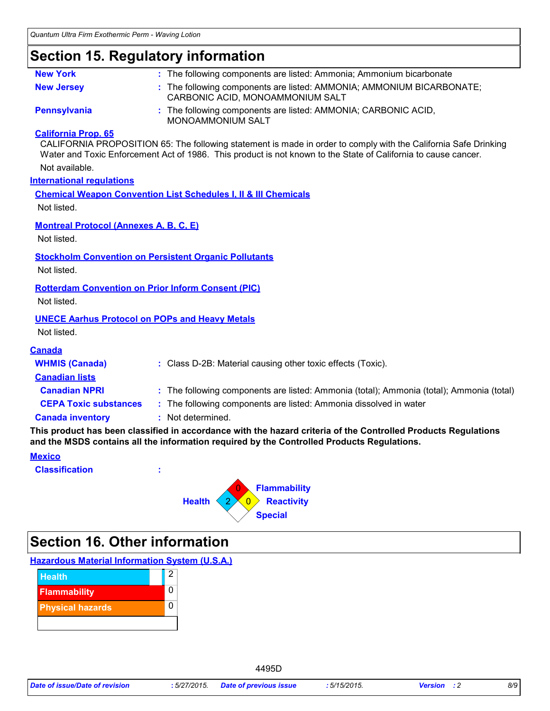### **Section 15. Regulatory information**

| <b>New York</b>                                                          | : The following components are listed: Ammonia; Ammonium bicarbonate                                                                                                                                                              |
|--------------------------------------------------------------------------|-----------------------------------------------------------------------------------------------------------------------------------------------------------------------------------------------------------------------------------|
| <b>New Jersey</b>                                                        | : The following components are listed: AMMONIA; AMMONIUM BICARBONATE;<br>CARBONIC ACID, MONOAMMONIUM SALT                                                                                                                         |
| <b>Pennsylvania</b>                                                      | : The following components are listed: AMMONIA; CARBONIC ACID,<br>MONOAMMONIUM SALT                                                                                                                                               |
| <b>California Prop. 65</b>                                               | CALIFORNIA PROPOSITION 65: The following statement is made in order to comply with the California Safe Drinking<br>Water and Toxic Enforcement Act of 1986. This product is not known to the State of California to cause cancer. |
| Not available.                                                           |                                                                                                                                                                                                                                   |
| <b>International regulations</b>                                         |                                                                                                                                                                                                                                   |
| Not listed.                                                              | <b>Chemical Weapon Convention List Schedules I, II &amp; III Chemicals</b>                                                                                                                                                        |
| <b>Montreal Protocol (Annexes A, B, C, E)</b><br>Not listed.             |                                                                                                                                                                                                                                   |
| Not listed.                                                              | <b>Stockholm Convention on Persistent Organic Pollutants</b>                                                                                                                                                                      |
| <b>Rotterdam Convention on Prior Inform Consent (PIC)</b><br>Not listed. |                                                                                                                                                                                                                                   |
| <b>UNECE Aarhus Protocol on POPs and Heavy Metals</b><br>Not listed.     |                                                                                                                                                                                                                                   |
| <b>Canada</b>                                                            |                                                                                                                                                                                                                                   |
| <b>WHMIS (Canada)</b>                                                    | : Class D-2B: Material causing other toxic effects (Toxic).                                                                                                                                                                       |
| <b>Canadian lists</b>                                                    |                                                                                                                                                                                                                                   |
| <b>Canadian NPRI</b>                                                     | : The following components are listed: Ammonia (total); Ammonia (total); Ammonia (total)                                                                                                                                          |
| <b>CEPA Toxic substances</b>                                             | : The following components are listed: Ammonia dissolved in water                                                                                                                                                                 |
| <b>Canada inventory</b>                                                  | : Not determined.                                                                                                                                                                                                                 |
|                                                                          | This product has been classified in accordance with the hazard criteria of the Controlled Products Regulations<br>and the MSDS contains all the information required by the Controlled Products Regulations.                      |
| <b>Mexico</b>                                                            |                                                                                                                                                                                                                                   |
| <b>Classification</b>                                                    |                                                                                                                                                                                                                                   |



# **Section 16. Other information**

**Hazardous Material Information System (U.S.A.)**